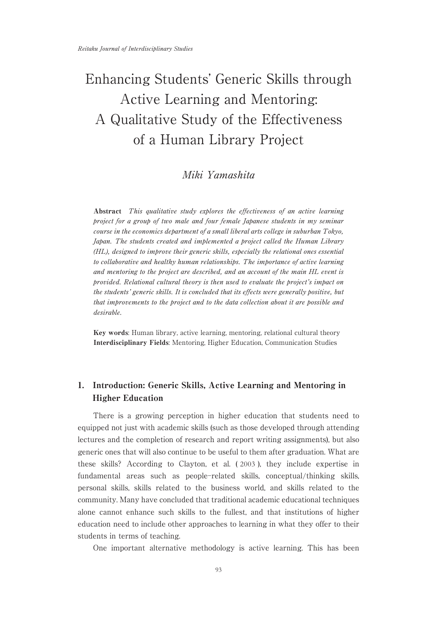# Enhancing Students' Generic Skills through Active Learning and Mentoring: A Qualitative Study of the Effectiveness of a Human Library Project

# Miki Yamashita

Abstract This qualitative study explores the effectiveness of an active learning project for a group of two male and four female Japanese students in my seminar course in the economics department of a small liberal arts college in suburban Tokyo, Japan. The students created and implemented a project called the Human Library (HL), designed to improve their generic skills, especially the relational ones essential to collaborative and healthy human relationships. The importance of active learning and mentoring to the project are described, and an account of the main HL event is provided.Relational cultural theory is then used to evaluate the project's impact on the students' generic skills.It is concluded that its effects were generally positive, but that improvements to the project and to the data collection about it are possible and desirable.

Key words: Human library, active learning, mentoring, relational cultural theory Interdisciplinary Fields: Mentoring, Higher Education, Communication Studies

# 1. Introduction: Generic Skills, Active Learning and Mentoring in Higher Education

There is a growing perception in higher education that students need to equipped not just with academic skills (such as those developed through attending lectures and the completion of research and report writing assignments), but also generic ones that will also continue to be useful to them after graduation. What are these skills? According to Clayton, et al. ( 2003 ), they include expertise in fundamental areas such as people-related skills, conceptual/thinking skills, personal skills, skills related to the business world, and skills related to the community. Many have concluded that traditional academic educational techniques alone cannot enhance such skills to the fullest, and that institutions of higher education need to include other approaches to learning in what they offer to their students in terms of teaching.

One important alternative methodology is active learning. This has been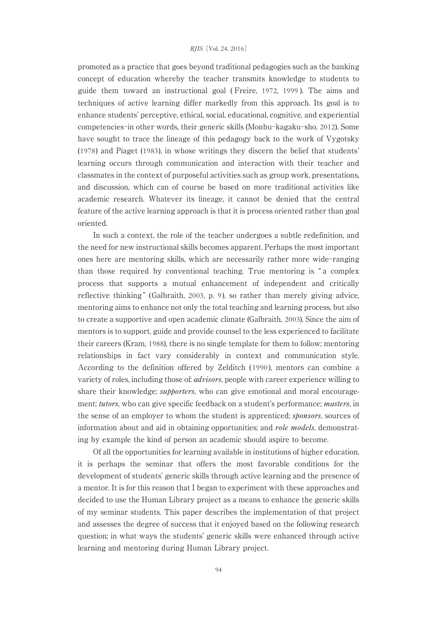#### RJIS[Vol. 24, 2016]

promoted as a practice that goes beyond traditional pedagogies such as the banking concept of education whereby the teacher transmits knowledge to students to guide them toward an instructional goal ( Freire, 1972, 1999 ). The aims and techniques of active learning differ markedly from this approach. Its goal is to enhance students' perceptive, ethical, social, educational, cognitive, and experiential competencies-in other words, their generic skills (Monbu-kagaku-sho, 2012). Some have sought to trace the lineage of this pedagogy back to the work of Vygotsky (1978) and Piaget (1983), in whose writings they discern the belief that students' learning occurs through communication and interaction with their teacher and classmates in the context of purposeful activities such as group work, presentations, and discussion, which can of course be based on more traditional activities like academic research. Whatever its lineage, it cannot be denied that the central feature of the active learning approach is that it is process oriented rather than goal oriented.

In such a context, the role of the teacher undergoes a subtle redefinition, and the need for new instructional skills becomes apparent. Perhaps the most important ones here are mentoring skills, which are necessarily rather more wide-ranging than those required by conventional teaching. True mentoring is " a complex process that supports a mutual enhancement of independent and critically reflective thinking" (Galbraith, 2003, p. 9), so rather than merely giving advice, mentoring aims to enhance not only the total teaching and learning process, but also to create a supportive and open academic climate (Galbraith, 2003). Since the aim of mentors is to support, guide and provide counsel to the less experienced to facilitate their careers (Kram, 1988), there is no single template for them to follow; mentoring relationships in fact vary considerably in context and communication style. According to the definition offered by Zelditch ( 1990 ), mentors can combine a variety of roles, including those of: advisors, people with career experience willing to share their knowledge; *supporters*, who can give emotional and moral encouragement; *tutors*, who can give specific feedback on a student's performance; *masters*, in the sense of an employer to whom the student is apprenticed; *sponsors*, sources of information about and aid in obtaining opportunities; and *role models*, demonstrating by example the kind of person an academic should aspire to become.

Of all the opportunities for learning available in institutions of higher education, it is perhaps the seminar that offers the most favorable conditions for the development of students' generic skills through active learning and the presence of a mentor. It is for this reason that I began to experiment with these approaches and decided to use the Human Library project as a means to enhance the generic skills of my seminar students. This paper describes the implementation of that project and assesses the degree of success that it enjoyed based on the following research question; in what ways the students' generic skills were enhanced through active learning and mentoring during Human Library project.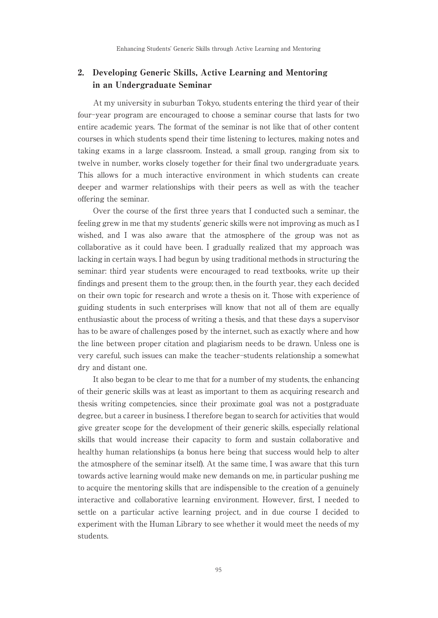# 2. Developing Generic Skills, Active Learning and Mentoring in an Undergraduate Seminar

At my university in suburban Tokyo, students entering the third year of their four-year program are encouraged to choose a seminar course that lasts for two entire academic years. The format of the seminar is not like that of other content courses in which students spend their time listening to lectures, making notes and taking exams in a large classroom. Instead, a small group, ranging from six to twelve in number, works closely together for their final two undergraduate years. This allows for a much interactive environment in which students can create deeper and warmer relationships with their peers as well as with the teacher offering the seminar.

Over the course of the first three years that I conducted such a seminar, the feeling grew in me that my students' generic skills were not improving as much as I wished, and I was also aware that the atmosphere of the group was not as collaborative as it could have been. I gradually realized that my approach was lacking in certain ways. I had begun by using traditional methods in structuring the seminar: third year students were encouraged to read textbooks, write up their findings and present them to the group; then, in the fourth year, they each decided on their own topic for research and wrote a thesis on it. Those with experience of guiding students in such enterprises will know that not all of them are equally enthusiastic about the process of writing a thesis, and that these days a supervisor has to be aware of challenges posed by the internet, such as exactly where and how the line between proper citation and plagiarism needs to be drawn. Unless one is very careful, such issues can make the teacher-students relationship a somewhat dry and distant one.

It also began to be clear to me that for a number of my students, the enhancing of their generic skills was at least as important to them as acquiring research and thesis writing competencies, since their proximate goal was not a postgraduate degree, but a career in business. I therefore began to search for activities that would give greater scope for the development of their generic skills, especially relational skills that would increase their capacity to form and sustain collaborative and healthy human relationships (a bonus here being that success would help to alter the atmosphere of the seminar itself). At the same time, I was aware that this turn towards active learning would make new demands on me, in particular pushing me to acquire the mentoring skills that are indispensible to the creation of a genuinely interactive and collaborative learning environment. However, first, I needed to settle on a particular active learning project, and in due course I decided to experiment with the Human Library to see whether it would meet the needs of my students.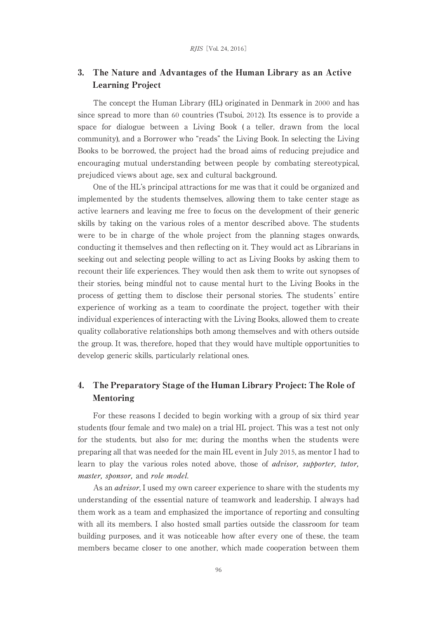# 3. The Nature and Advantages of the Human Library as an Active Learning Project

The concept the Human Library (HL) originated in Denmark in 2000 and has since spread to more than 60 countries (Tsuboi, 2012). Its essence is to provide a space for dialogue between a Living Book ( a teller, drawn from the local community), and a Borrower who "reads" the Living Book. In selecting the Living Books to be borrowed, the project had the broad aims of reducing prejudice and encouraging mutual understanding between people by combating stereotypical, prejudiced views about age, sex and cultural background.

One of the HL's principal attractions for me was that it could be organized and implemented by the students themselves, allowing them to take center stage as active learners and leaving me free to focus on the development of their generic skills by taking on the various roles of a mentor described above. The students were to be in charge of the whole project from the planning stages onwards, conducting it themselves and then reflecting on it. They would act as Librarians in seeking out and selecting people willing to act as Living Books by asking them to recount their life experiences. They would then ask them to write out synopses of their stories, being mindful not to cause mental hurt to the Living Books in the process of getting them to disclose their personal stories. The students ' entire experience of working as a team to coordinate the project, together with their individual experiences of interacting with the Living Books, allowed them to create quality collaborative relationships both among themselves and with others outside the group. It was, therefore, hoped that they would have multiple opportunities to develop generic skills, particularly relational ones.

# 4. The Preparatory Stage of the Human Library Project: The Role of Mentoring

For these reasons I decided to begin working with a group of six third year students (four female and two male) on a trial HL project. This was a test not only for the students, but also for me; during the months when the students were preparing all that was needed for the main HL event in July 2015, as mentor I had to learn to play the various roles noted above, those of advisor, supporter, tutor, master, sponsor, and role model.

As an *advisor*, I used my own career experience to share with the students my understanding of the essential nature of teamwork and leadership. I always had them work as a team and emphasized the importance of reporting and consulting with all its members. I also hosted small parties outside the classroom for team building purposes, and it was noticeable how after every one of these, the team members became closer to one another, which made cooperation between them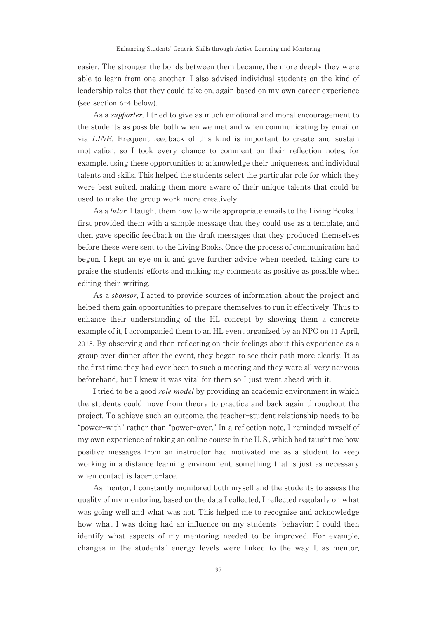easier. The stronger the bonds between them became, the more deeply they were able to learn from one another. I also advised individual students on the kind of leadership roles that they could take on, again based on my own career experience (see section 6-4 below).

As a *supporter*, I tried to give as much emotional and moral encouragement to the students as possible, both when we met and when communicating by email or via LINE. Frequent feedback of this kind is important to create and sustain motivation, so I took every chance to comment on their reflection notes, for example, using these opportunities to acknowledge their uniqueness, and individual talents and skills. This helped the students select the particular role for which they were best suited, making them more aware of their unique talents that could be used to make the group work more creatively.

As a *tutor*, I taught them how to write appropriate emails to the Living Books. I first provided them with a sample message that they could use as a template, and then gave specific feedback on the draft messages that they produced themselves before these were sent to the Living Books. Once the process of communication had begun, I kept an eye on it and gave further advice when needed, taking care to praise the students' efforts and making my comments as positive as possible when editing their writing.

As a *sponsor*, I acted to provide sources of information about the project and helped them gain opportunities to prepare themselves to run it effectively. Thus to enhance their understanding of the HL concept by showing them a concrete example of it, I accompanied them to an HL event organized by an NPO on 11 April, 2015. By observing and then reflecting on their feelings about this experience as a group over dinner after the event, they began to see their path more clearly. It as the first time they had ever been to such a meeting and they were all very nervous beforehand, but I knew it was vital for them so I just went ahead with it.

I tried to be a good *role model* by providing an academic environment in which the students could move from theory to practice and back again throughout the project. To achieve such an outcome, the teacher-student relationship needs to be "power-with" rather than "power-over." In a reflection note, I reminded myself of my own experience of taking an online course in the U. S., which had taught me how positive messages from an instructor had motivated me as a student to keep working in a distance learning environment, something that is just as necessary when contact is face-to-face.

As mentor, I constantly monitored both myself and the students to assess the quality of my mentoring; based on the data I collected, I reflected regularly on what was going well and what was not. This helped me to recognize and acknowledge how what I was doing had an influence on my students' behavior; I could then identify what aspects of my mentoring needed to be improved. For example, changes in the students ' energy levels were linked to the way I, as mentor,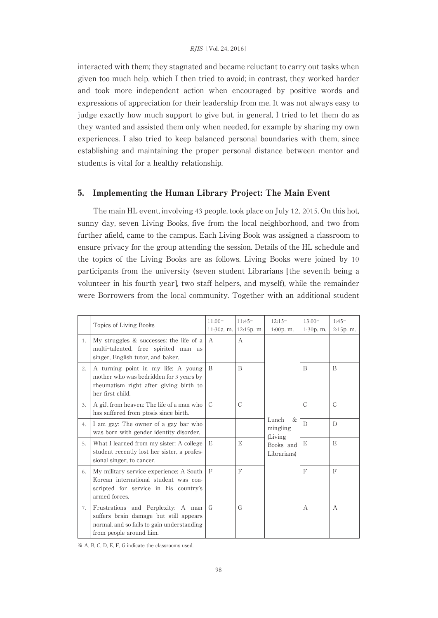interacted with them; they stagnated and became reluctant to carry out tasks when given too much help, which I then tried to avoid; in contrast, they worked harder and took more independent action when encouraged by positive words and expressions of appreciation for their leadership from me. It was not always easy to judge exactly how much support to give but, in general, I tried to let them do as they wanted and assisted them only when needed, for example by sharing my own experiences. I also tried to keep balanced personal boundaries with them, since establishing and maintaining the proper personal distance between mentor and students is vital for a healthy relationship.

## 5. Implementing the Human Library Project: The Main Event

The main HL event, involving 43 people, took place on July 12, 2015. On this hot, sunny day, seven Living Books, five from the local neighborhood, and two from further afield, came to the campus. Each Living Book was assigned a classroom to ensure privacy for the group attending the session. Details of the HL schedule and the topics of the Living Books are as follows. Living Books were joined by 10 participants from the university (seven student Librarians [the seventh being a volunteer in his fourth year], two staff helpers, and myself), while the remainder were Borrowers from the local community. Together with an additional student

|    | Topics of Living Books                                                                                                                                | $11:00-$      | $11:45-$  | $12:15-$                                                                       | $13:00-$       | $1:45-$       |
|----|-------------------------------------------------------------------------------------------------------------------------------------------------------|---------------|-----------|--------------------------------------------------------------------------------|----------------|---------------|
|    |                                                                                                                                                       | 11:30a. m.    | 12:15p.m. | $1:00p$ , m.                                                                   | $1:30p$ , m.   | 2:15p.m.      |
| 1. | My struggles & successes: the life of a<br>multi-talented, free spirited man as<br>singer, English tutor, and baker.                                  | $\mathcal{A}$ | A         | Lunch<br>$\mathcal{R}_{L}$<br>mingling<br>(Living)<br>Books and<br>Librarians) |                |               |
| 2. | A turning point in my life: A young<br>mother who was bedridden for 3 years by<br>rheumatism right after giving birth to<br>her first child.          | B             | B         |                                                                                | $\overline{B}$ | B             |
| 3. | A gift from heaven: The life of a man who<br>has suffered from ptosis since birth.                                                                    | $\mathcal{C}$ | C         |                                                                                | $\mathcal{C}$  | $\mathcal{C}$ |
| 4. | I am gay: The owner of a gay bar who<br>was born with gender identity disorder.                                                                       |               |           |                                                                                | D              | $\mathbb{D}$  |
| 5. | What I learned from my sister: A college<br>student recently lost her sister, a profes-<br>sional singer, to cancer.                                  | E             | E         |                                                                                | E              | E             |
| 6. | My military service experience: A South<br>Korean international student was con-<br>scripted for service in his country's<br>armed forces.            | F             | F         |                                                                                | F              | F             |
| 7. | Frustrations and Perplexity: A man<br>suffers brain damage but still appears<br>normal, and so fails to gain understanding<br>from people around him. | G             | G         |                                                                                | $\mathsf{A}$   | A             |

※ A, B, C, D, E, F, G indicate the classrooms used.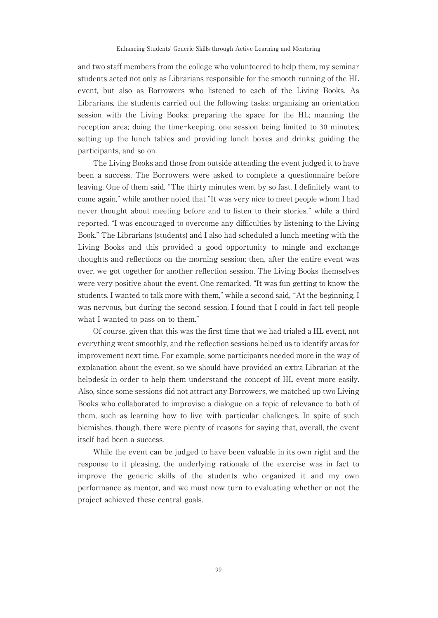and two staff members from the college who volunteered to help them, my seminar students acted not only as Librarians responsible for the smooth running of the HL event, but also as Borrowers who listened to each of the Living Books. As Librarians, the students carried out the following tasks: organizing an orientation session with the Living Books; preparing the space for the HL; manning the reception area; doing the time-keeping, one session being limited to 30 minutes; setting up the lunch tables and providing lunch boxes and drinks; guiding the participants, and so on.

The Living Books and those from outside attending the event judged it to have been a success. The Borrowers were asked to complete a questionnaire before leaving. One of them said, "The thirty minutes went by so fast. I definitely want to come again," while another noted that "It was very nice to meet people whom I had never thought about meeting before and to listen to their stories," while a third reported, "I was encouraged to overcome any difficulties by listening to the Living Book." The Librarians (students) and I also had scheduled a lunch meeting with the Living Books and this provided a good opportunity to mingle and exchange thoughts and reflections on the morning session; then, after the entire event was over, we got together for another reflection session. The Living Books themselves were very positive about the event. One remarked, "It was fun getting to know the students. I wanted to talk more with them," while a second said, "At the beginning, I was nervous, but during the second session, I found that I could in fact tell people what I wanted to pass on to them."

Of course, given that this was the first time that we had trialed a HL event, not everything went smoothly, and the reflection sessions helped us to identify areas for improvement next time. For example, some participants needed more in the way of explanation about the event, so we should have provided an extra Librarian at the helpdesk in order to help them understand the concept of HL event more easily. Also, since some sessions did not attract any Borrowers, we matched up two Living Books who collaborated to improvise a dialogue on a topic of relevance to both of them, such as learning how to live with particular challenges. In spite of such blemishes, though, there were plenty of reasons for saying that, overall, the event itself had been a success.

While the event can be judged to have been valuable in its own right and the response to it pleasing, the underlying rationale of the exercise was in fact to improve the generic skills of the students who organized it and my own performance as mentor, and we must now turn to evaluating whether or not the project achieved these central goals.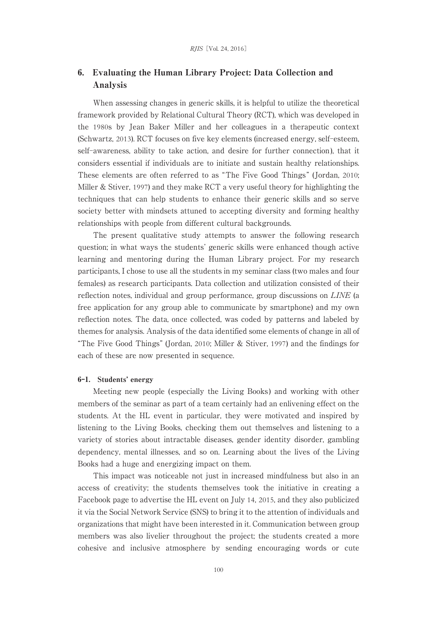## 6. Evaluating the Human Library Project: Data Collection and Analysis

When assessing changes in generic skills, it is helpful to utilize the theoretical framework provided by Relational Cultural Theory (RCT), which was developed in the 1980s by Jean Baker Miller and her colleagues in a therapeutic context (Schwartz, 2013). RCT focuses on five key elements (increased energy, self-esteem, self-awareness, ability to take action, and desire for further connection), that it considers essential if individuals are to initiate and sustain healthy relationships. These elements are often referred to as "The Five Good Things" (Jordan, 2010; Miller & Stiver, 1997) and they make RCT a very useful theory for highlighting the techniques that can help students to enhance their generic skills and so serve society better with mindsets attuned to accepting diversity and forming healthy relationships with people from different cultural backgrounds.

The present qualitative study attempts to answer the following research question; in what ways the students' generic skills were enhanced though active learning and mentoring during the Human Library project. For my research participants, I chose to use all the students in my seminar class (two males and four females) as research participants. Data collection and utilization consisted of their reflection notes, individual and group performance, group discussions on LINE (a free application for any group able to communicate by smartphone) and my own reflection notes. The data, once collected, was coded by patterns and labeled by themes for analysis. Analysis of the data identified some elements of change in all of "The Five Good Things" (Jordan, 2010; Miller & Stiver, 1997) and the findings for each of these are now presented in sequence.

#### 6-1. Students' energy

Meeting new people ( especially the Living Books) and working with other members of the seminar as part of a team certainly had an enlivening effect on the students. At the HL event in particular, they were motivated and inspired by listening to the Living Books, checking them out themselves and listening to a variety of stories about intractable diseases, gender identity disorder, gambling dependency, mental illnesses, and so on. Learning about the lives of the Living Books had a huge and energizing impact on them.

This impact was noticeable not just in increased mindfulness but also in an access of creativity; the students themselves took the initiative in creating a Facebook page to advertise the HL event on July 14, 2015, and they also publicized it via the Social Network Service (SNS) to bring it to the attention of individuals and organizations that might have been interested in it. Communication between group members was also livelier throughout the project; the students created a more cohesive and inclusive atmosphere by sending encouraging words or cute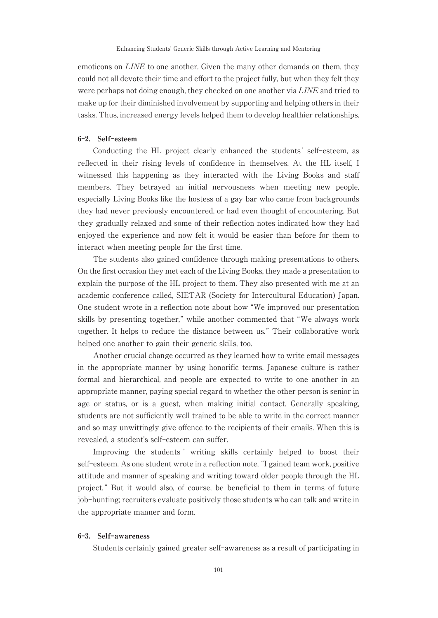emoticons on *LINE* to one another. Given the many other demands on them, they could not all devote their time and effort to the project fully, but when they felt they were perhaps not doing enough, they checked on one another via *LINE* and tried to make up for their diminished involvement by supporting and helping others in their tasks. Thus, increased energy levels helped them to develop healthier relationships.

### 6-2. Self-esteem

Conducting the HL project clearly enhanced the students' self-esteem, as reflected in their rising levels of confidence in themselves. At the HL itself, I witnessed this happening as they interacted with the Living Books and staff members. They betrayed an initial nervousness when meeting new people, especially Living Books like the hostess of a gay bar who came from backgrounds they had never previously encountered, or had even thought of encountering. But they gradually relaxed and some of their reflection notes indicated how they had enjoyed the experience and now felt it would be easier than before for them to interact when meeting people for the first time.

The students also gained confidence through making presentations to others. On the first occasion they met each of the Living Books, they made a presentation to explain the purpose of the HL project to them. They also presented with me at an academic conference called, SIETAR (Society for Intercultural Education) Japan. One student wrote in a reflection note about how "We improved our presentation skills by presenting together," while another commented that "We always work together. It helps to reduce the distance between us." Their collaborative work helped one another to gain their generic skills, too.

Another crucial change occurred as they learned how to write email messages in the appropriate manner by using honorific terms. Japanese culture is rather formal and hierarchical, and people are expected to write to one another in an appropriate manner, paying special regard to whether the other person is senior in age or status, or is a guest, when making initial contact. Generally speaking, students are not sufficiently well trained to be able to write in the correct manner and so may unwittingly give offence to the recipients of their emails. When this is revealed, a student's self-esteem can suffer.

Improving the students ' writing skills certainly helped to boost their self-esteem. As one student wrote in a reflection note, "I gained team work, positive attitude and manner of speaking and writing toward older people through the HL project. " But it would also, of course, be beneficial to them in terms of future job-hunting; recruiters evaluate positively those students who can talk and write in the appropriate manner and form.

#### 6-3. Self-awareness

Students certainly gained greater self-awareness as a result of participating in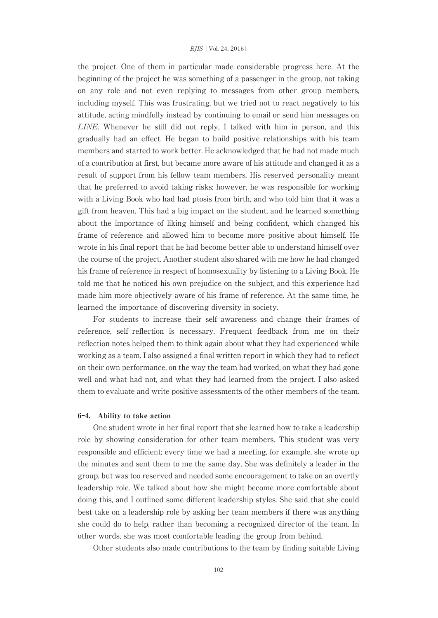#### RJIS[Vol. 24, 2016]

the project. One of them in particular made considerable progress here. At the beginning of the project he was something of a passenger in the group, not taking on any role and not even replying to messages from other group members, including myself. This was frustrating, but we tried not to react negatively to his attitude, acting mindfully instead by continuing to email or send him messages on LINE. Whenever he still did not reply, I talked with him in person, and this gradually had an effect. He began to build positive relationships with his team members and started to work better. He acknowledged that he had not made much of a contribution at first, but became more aware of his attitude and changed it as a result of support from his fellow team members. His reserved personality meant that he preferred to avoid taking risks; however, he was responsible for working with a Living Book who had had ptosis from birth, and who told him that it was a gift from heaven. This had a big impact on the student, and he learned something about the importance of liking himself and being confident, which changed his frame of reference and allowed him to become more positive about himself. He wrote in his final report that he had become better able to understand himself over the course of the project. Another student also shared with me how he had changed his frame of reference in respect of homosexuality by listening to a Living Book. He told me that he noticed his own prejudice on the subject, and this experience had made him more objectively aware of his frame of reference. At the same time, he learned the importance of discovering diversity in society.

For students to increase their self-awareness and change their frames of reference, self-reflection is necessary. Frequent feedback from me on their reflection notes helped them to think again about what they had experienced while working as a team. I also assigned a final written report in which they had to reflect on their own performance, on the way the team had worked, on what they had gone well and what had not, and what they had learned from the project. I also asked them to evaluate and write positive assessments of the other members of the team.

#### 6-4. Ability to take action

One student wrote in her final report that she learned how to take a leadership role by showing consideration for other team members. This student was very responsible and efficient; every time we had a meeting, for example, she wrote up the minutes and sent them to me the same day. She was definitely a leader in the group, but was too reserved and needed some encouragement to take on an overtly leadership role. We talked about how she might become more comfortable about doing this, and I outlined some different leadership styles. She said that she could best take on a leadership role by asking her team members if there was anything she could do to help, rather than becoming a recognized director of the team. In other words, she was most comfortable leading the group from behind.

Other students also made contributions to the team by finding suitable Living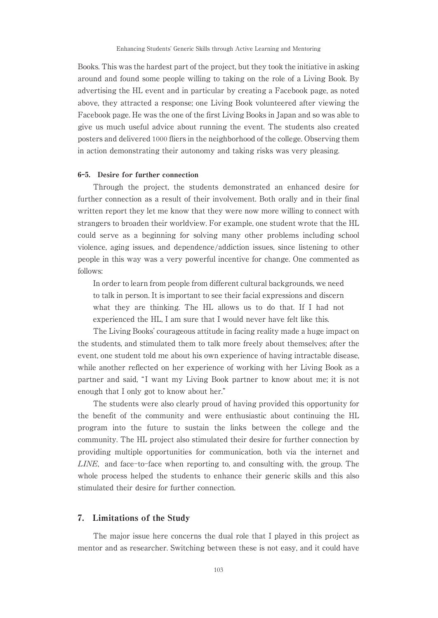Books. This was the hardest part of the project, but they took the initiative in asking around and found some people willing to taking on the role of a Living Book. By advertising the HL event and in particular by creating a Facebook page, as noted above, they attracted a response; one Living Book volunteered after viewing the Facebook page. He was the one of the first Living Books in Japan and so was able to give us much useful advice about running the event. The students also created posters and delivered 1000 fliers in the neighborhood of the college. Observing them in action demonstrating their autonomy and taking risks was very pleasing.

#### 6-5. Desire for further connection

Through the project, the students demonstrated an enhanced desire for further connection as a result of their involvement. Both orally and in their final written report they let me know that they were now more willing to connect with strangers to broaden their worldview. For example, one student wrote that the HL could serve as a beginning for solving many other problems including school violence, aging issues, and dependence/addiction issues, since listening to other people in this way was a very powerful incentive for change. One commented as follows:

In order to learn from people from different cultural backgrounds, we need to talk in person. It is important to see their facial expressions and discern what they are thinking. The HL allows us to do that. If I had not experienced the HL, I am sure that I would never have felt like this.

The Living Books' courageous attitude in facing reality made a huge impact on the students, and stimulated them to talk more freely about themselves; after the event, one student told me about his own experience of having intractable disease, while another reflected on her experience of working with her Living Book as a partner and said, " I want my Living Book partner to know about me; it is not enough that I only got to know about her."

The students were also clearly proud of having provided this opportunity for the benefit of the community and were enthusiastic about continuing the HL program into the future to sustain the links between the college and the community. The HL project also stimulated their desire for further connection by providing multiple opportunities for communication, both via the internet and LINE, and face-to-face when reporting to, and consulting with, the group. The whole process helped the students to enhance their generic skills and this also stimulated their desire for further connection.

## 7. Limitations of the Study

The major issue here concerns the dual role that I played in this project as mentor and as researcher. Switching between these is not easy, and it could have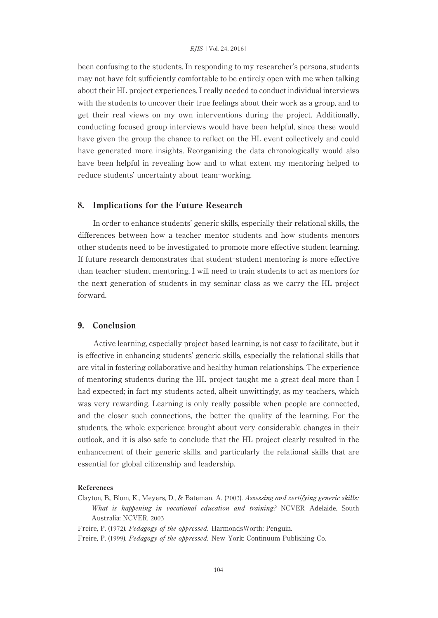been confusing to the students. In responding to my researcher's persona, students may not have felt sufficiently comfortable to be entirely open with me when talking about their HL project experiences. I really needed to conduct individual interviews with the students to uncover their true feelings about their work as a group, and to get their real views on my own interventions during the project. Additionally, conducting focused group interviews would have been helpful, since these would have given the group the chance to reflect on the HL event collectively and could have generated more insights. Reorganizing the data chronologically would also have been helpful in revealing how and to what extent my mentoring helped to reduce students' uncertainty about team-working.

## 8. Implications for the Future Research

In order to enhance students' generic skills, especially their relational skills, the differences between how a teacher mentor students and how students mentors other students need to be investigated to promote more effective student learning. If future research demonstrates that student-student mentoring is more effective than teacher-student mentoring, I will need to train students to act as mentors for the next generation of students in my seminar class as we carry the HL project forward.

## 9. Conclusion

Active learning, especially project based learning, is not easy to facilitate, but it is effective in enhancing students' generic skills, especially the relational skills that are vital in fostering collaborative and healthy human relationships. The experience of mentoring students during the HL project taught me a great deal more than I had expected; in fact my students acted, albeit unwittingly, as my teachers, which was very rewarding. Learning is only really possible when people are connected, and the closer such connections, the better the quality of the learning. For the students, the whole experience brought about very considerable changes in their outlook, and it is also safe to conclude that the HL project clearly resulted in the enhancement of their generic skills, and particularly the relational skills that are essential for global citizenship and leadership.

#### References

- Clayton, B., Blom, K., Meyers, D., & Bateman, A. (2003). Assessing and certifying generic skills: What is happening in vocational education and training? NCVER Adelaide, South Australia: NCVER, 2003
- Freire, P. (1972). Pedagogy of the oppressed. HarmondsWorth: Penguin.
- Freire, P. (1999). Pedagogy of the oppressed. New York: Continuum Publishing Co.